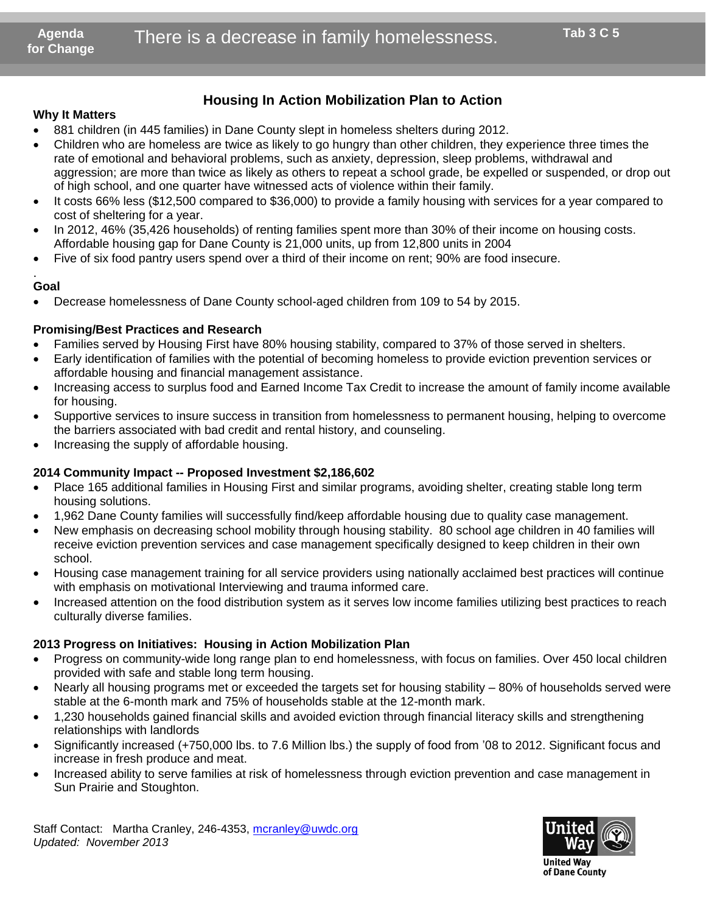## **Housing In Action Mobilization Plan to Action**

## **Why It Matters**

- 881 children (in 445 families) in Dane County slept in homeless shelters during 2012.
- Children who are homeless are twice as likely to go hungry than other children, they experience three times the rate of emotional and behavioral problems, such as anxiety, depression, sleep problems, withdrawal and aggression; are more than twice as likely as others to repeat a school grade, be expelled or suspended, or drop out of high school, and one quarter have witnessed acts of violence within their family.
- It costs 66% less (\$12,500 compared to \$36,000) to provide a family housing with services for a year compared to cost of sheltering for a year.
- In 2012, 46% (35,426 households) of renting families spent more than 30% of their income on housing costs. Affordable housing gap for Dane County is 21,000 units, up from 12,800 units in 2004
- Five of six food pantry users spend over a third of their income on rent; 90% are food insecure.

#### . **Goal**

Decrease homelessness of Dane County school-aged children from 109 to 54 by 2015.

### **Promising/Best Practices and Research**

- Families served by Housing First have 80% housing stability, compared to 37% of those served in shelters.
- Early identification of families with the potential of becoming homeless to provide eviction prevention services or affordable housing and financial management assistance.
- Increasing access to surplus food and Earned Income Tax Credit to increase the amount of family income available for housing.
- Supportive services to insure success in transition from homelessness to permanent housing, helping to overcome the barriers associated with bad credit and rental history, and counseling.
- Increasing the supply of affordable housing.

#### **2014 Community Impact -- Proposed Investment \$2,186,602**

- Place 165 additional families in Housing First and similar programs, avoiding shelter, creating stable long term housing solutions.
- 1,962 Dane County families will successfully find/keep affordable housing due to quality case management.
- New emphasis on decreasing school mobility through housing stability. 80 school age children in 40 families will receive eviction prevention services and case management specifically designed to keep children in their own school.
- Housing case management training for all service providers using nationally acclaimed best practices will continue with emphasis on motivational Interviewing and trauma informed care.
- Increased attention on the food distribution system as it serves low income families utilizing best practices to reach culturally diverse families.

#### **2013 Progress on Initiatives: Housing in Action Mobilization Plan**

- Progress on community-wide long range plan to end homelessness, with focus on families. Over 450 local children provided with safe and stable long term housing.
- Nearly all housing programs met or exceeded the targets set for housing stability 80% of households served were stable at the 6-month mark and 75% of households stable at the 12-month mark.
- 1,230 households gained financial skills and avoided eviction through financial literacy skills and strengthening relationships with landlords
- Significantly increased (+750,000 lbs. to 7.6 Million lbs.) the supply of food from '08 to 2012. Significant focus and increase in fresh produce and meat.
- Increased ability to serve families at risk of homelessness through eviction prevention and case management in Sun Prairie and Stoughton.



**United Wav** of Dane County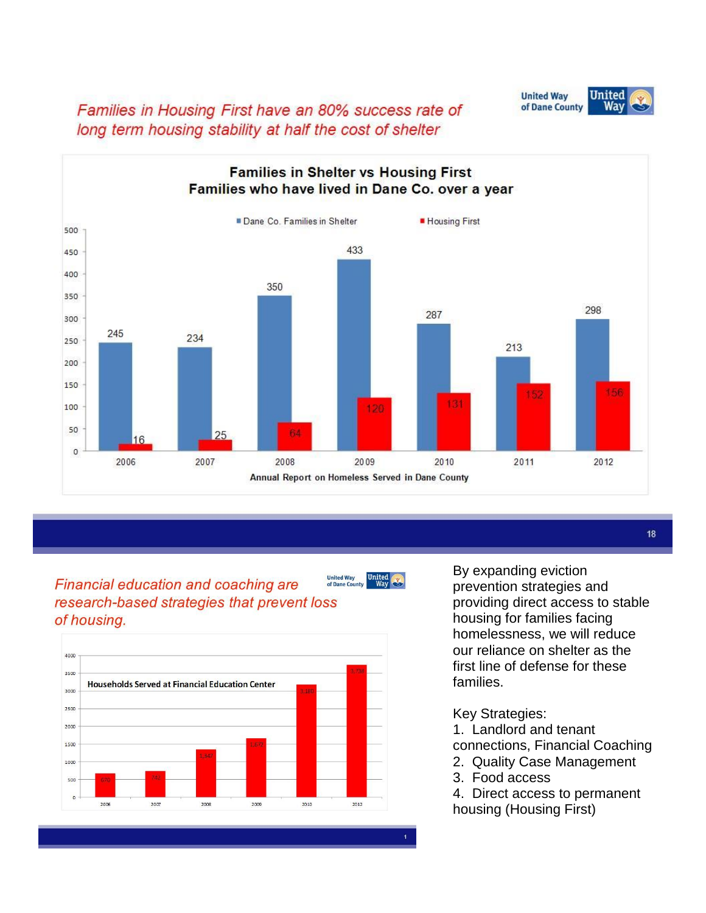**United Way United** of Dane County Way

Families in Housing First have an 80% success rate of long term housing stability at half the cost of shelter



#### **United Way<br>of Dane Cou Financial education and coaching are** research-based strategies that prevent loss of housing.





By expanding eviction prevention strategies and providing direct access to stable housing for families facing homelessness, we will reduce our reliance on shelter as the first line of defense for these families.

18

## Key Strategies:

1. Landlord and tenant

connections, Financial Coaching

- 2. Quality Case Management
- 3. Food access
- 4. Direct access to permanent housing (Housing First)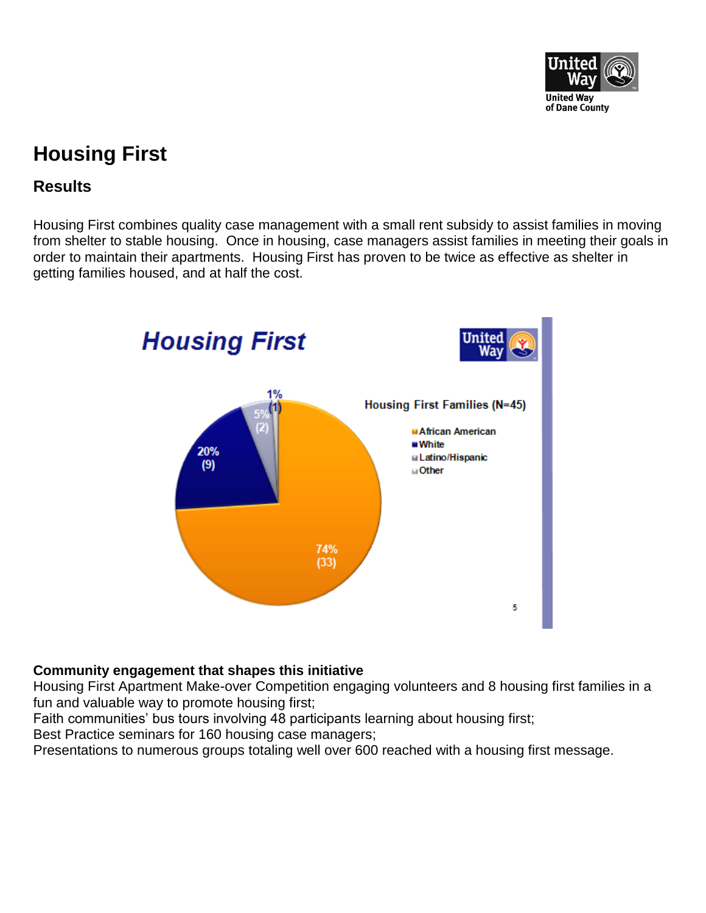

# **Housing First**

# **Results**

Housing First combines quality case management with a small rent subsidy to assist families in moving from shelter to stable housing. Once in housing, case managers assist families in meeting their goals in order to maintain their apartments. Housing First has proven to be twice as effective as shelter in getting families housed, and at half the cost.



## **Community engagement that shapes this initiative**

Housing First Apartment Make-over Competition engaging volunteers and 8 housing first families in a fun and valuable way to promote housing first;

Faith communities' bus tours involving 48 participants learning about housing first;

Best Practice seminars for 160 housing case managers;

Presentations to numerous groups totaling well over 600 reached with a housing first message.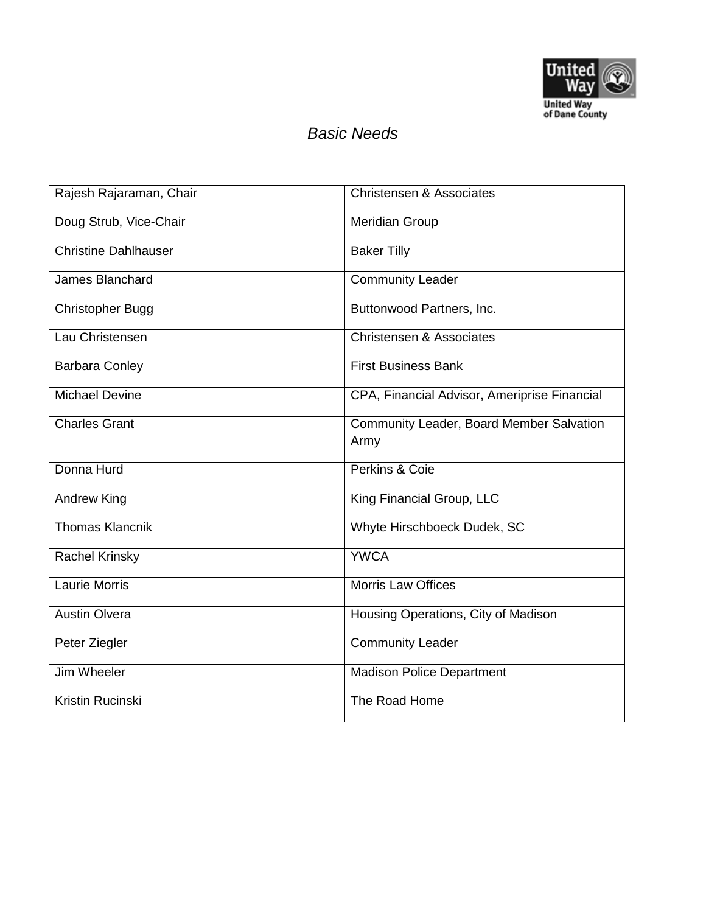

## *Basic Needs*

| Rajesh Rajaraman, Chair     | <b>Christensen &amp; Associates</b>              |
|-----------------------------|--------------------------------------------------|
| Doug Strub, Vice-Chair      | <b>Meridian Group</b>                            |
| <b>Christine Dahlhauser</b> | <b>Baker Tilly</b>                               |
| James Blanchard             | <b>Community Leader</b>                          |
| <b>Christopher Bugg</b>     | Buttonwood Partners, Inc.                        |
| Lau Christensen             | <b>Christensen &amp; Associates</b>              |
| <b>Barbara Conley</b>       | <b>First Business Bank</b>                       |
| <b>Michael Devine</b>       | CPA, Financial Advisor, Ameriprise Financial     |
| <b>Charles Grant</b>        | Community Leader, Board Member Salvation<br>Army |
| Donna Hurd                  | Perkins & Coie                                   |
| <b>Andrew King</b>          | King Financial Group, LLC                        |
| <b>Thomas Klancnik</b>      | Whyte Hirschboeck Dudek, SC                      |
| <b>Rachel Krinsky</b>       | <b>YWCA</b>                                      |
| <b>Laurie Morris</b>        | <b>Morris Law Offices</b>                        |
| <b>Austin Olvera</b>        | Housing Operations, City of Madison              |
| Peter Ziegler               | <b>Community Leader</b>                          |
| Jim Wheeler                 | <b>Madison Police Department</b>                 |
| Kristin Rucinski            | The Road Home                                    |